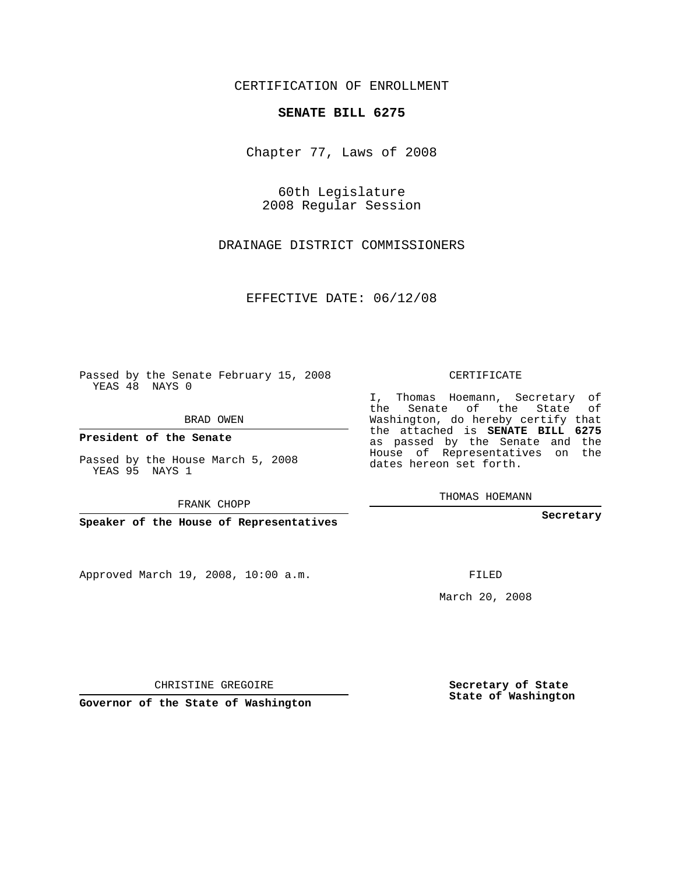CERTIFICATION OF ENROLLMENT

## **SENATE BILL 6275**

Chapter 77, Laws of 2008

60th Legislature 2008 Regular Session

DRAINAGE DISTRICT COMMISSIONERS

EFFECTIVE DATE: 06/12/08

Passed by the Senate February 15, 2008 YEAS 48 NAYS 0

BRAD OWEN

**President of the Senate**

Passed by the House March 5, 2008 YEAS 95 NAYS 1

FRANK CHOPP

**Speaker of the House of Representatives**

Approved March 19, 2008, 10:00 a.m.

CERTIFICATE

I, Thomas Hoemann, Secretary of the Senate of the State of Washington, do hereby certify that the attached is **SENATE BILL 6275** as passed by the Senate and the House of Representatives on the dates hereon set forth.

THOMAS HOEMANN

**Secretary**

FILED

March 20, 2008

**Secretary of State State of Washington**

CHRISTINE GREGOIRE

**Governor of the State of Washington**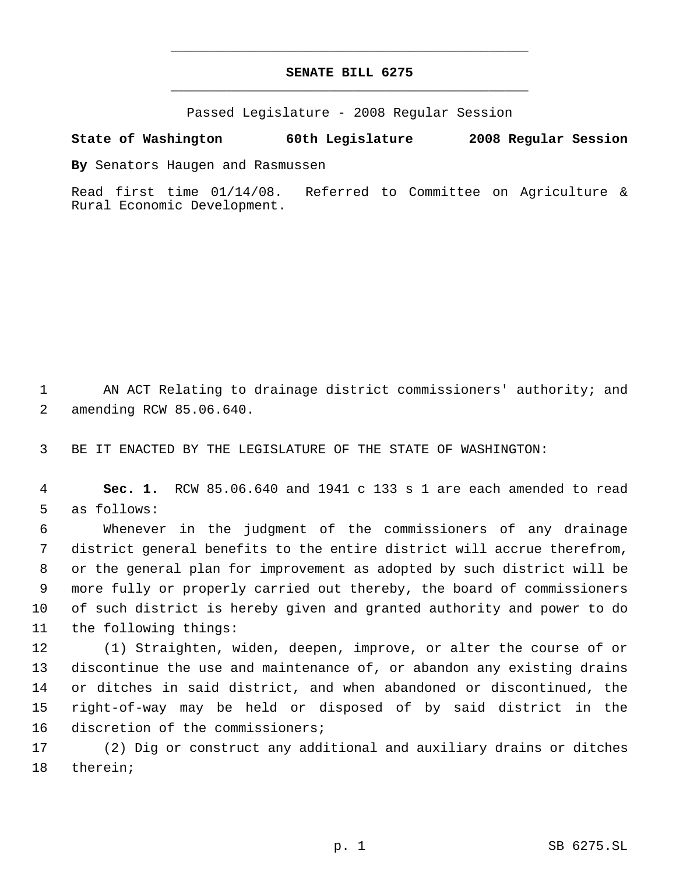## **SENATE BILL 6275** \_\_\_\_\_\_\_\_\_\_\_\_\_\_\_\_\_\_\_\_\_\_\_\_\_\_\_\_\_\_\_\_\_\_\_\_\_\_\_\_\_\_\_\_\_

\_\_\_\_\_\_\_\_\_\_\_\_\_\_\_\_\_\_\_\_\_\_\_\_\_\_\_\_\_\_\_\_\_\_\_\_\_\_\_\_\_\_\_\_\_

Passed Legislature - 2008 Regular Session

## **State of Washington 60th Legislature 2008 Regular Session**

**By** Senators Haugen and Rasmussen

Read first time 01/14/08. Referred to Committee on Agriculture & Rural Economic Development.

 AN ACT Relating to drainage district commissioners' authority; and amending RCW 85.06.640.

BE IT ENACTED BY THE LEGISLATURE OF THE STATE OF WASHINGTON:

 **Sec. 1.** RCW 85.06.640 and 1941 c 133 s 1 are each amended to read as follows:

 Whenever in the judgment of the commissioners of any drainage district general benefits to the entire district will accrue therefrom, or the general plan for improvement as adopted by such district will be more fully or properly carried out thereby, the board of commissioners of such district is hereby given and granted authority and power to do the following things:

 (1) Straighten, widen, deepen, improve, or alter the course of or discontinue the use and maintenance of, or abandon any existing drains or ditches in said district, and when abandoned or discontinued, the right-of-way may be held or disposed of by said district in the discretion of the commissioners;

 (2) Dig or construct any additional and auxiliary drains or ditches therein;